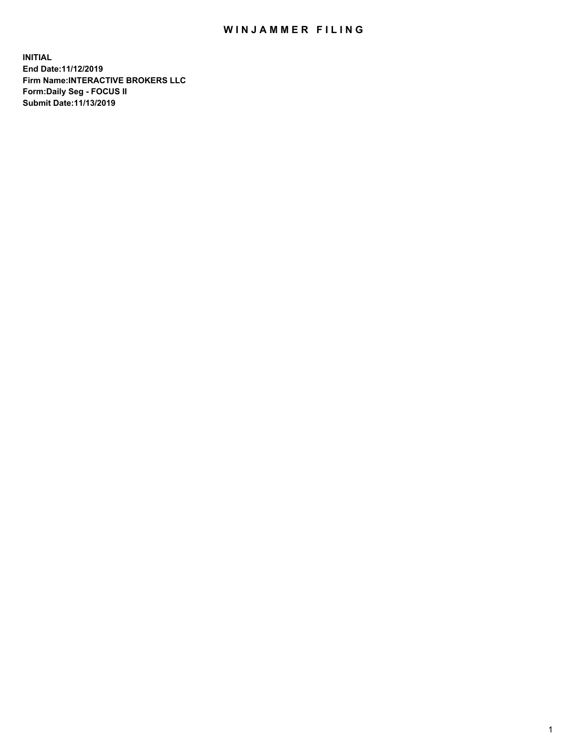## WIN JAMMER FILING

**INITIAL End Date:11/12/2019 Firm Name:INTERACTIVE BROKERS LLC Form:Daily Seg - FOCUS II Submit Date:11/13/2019**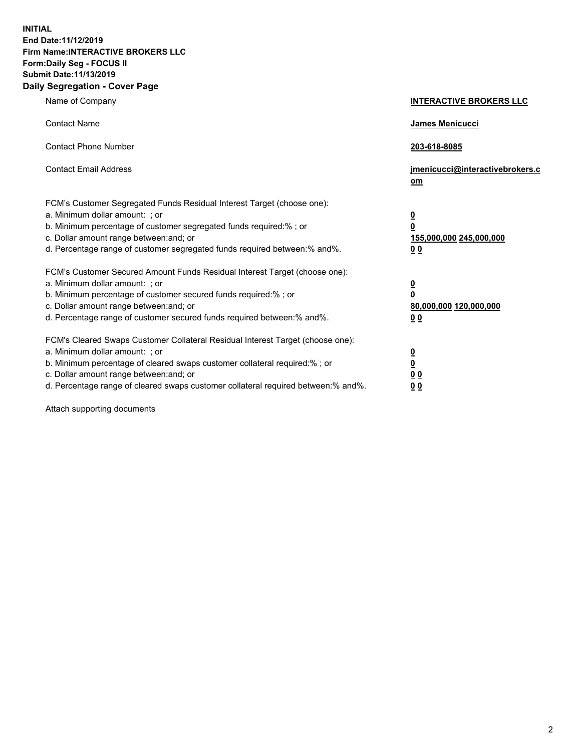**INITIAL End Date:11/12/2019 Firm Name:INTERACTIVE BROKERS LLC Form:Daily Seg - FOCUS II Submit Date:11/13/2019 Daily Segregation - Cover Page**

| Name of Company                                                                                                                                                                                                                                                                                                                | <b>INTERACTIVE BROKERS LLC</b>                                                                  |
|--------------------------------------------------------------------------------------------------------------------------------------------------------------------------------------------------------------------------------------------------------------------------------------------------------------------------------|-------------------------------------------------------------------------------------------------|
| <b>Contact Name</b>                                                                                                                                                                                                                                                                                                            | James Menicucci                                                                                 |
| <b>Contact Phone Number</b>                                                                                                                                                                                                                                                                                                    | 203-618-8085                                                                                    |
| <b>Contact Email Address</b>                                                                                                                                                                                                                                                                                                   | jmenicucci@interactivebrokers.c<br>om                                                           |
| FCM's Customer Segregated Funds Residual Interest Target (choose one):<br>a. Minimum dollar amount: ; or<br>b. Minimum percentage of customer segregated funds required:% ; or<br>c. Dollar amount range between: and; or<br>d. Percentage range of customer segregated funds required between:% and%.                         | $\overline{\mathbf{0}}$<br>$\overline{\mathbf{0}}$<br>155,000,000 245,000,000<br>0 <sub>0</sub> |
| FCM's Customer Secured Amount Funds Residual Interest Target (choose one):<br>a. Minimum dollar amount: ; or<br>b. Minimum percentage of customer secured funds required:%; or<br>c. Dollar amount range between: and; or<br>d. Percentage range of customer secured funds required between:% and%.                            | $\overline{\mathbf{0}}$<br>$\overline{\mathbf{0}}$<br>80,000,000 120,000,000<br>00              |
| FCM's Cleared Swaps Customer Collateral Residual Interest Target (choose one):<br>a. Minimum dollar amount: ; or<br>b. Minimum percentage of cleared swaps customer collateral required:% ; or<br>c. Dollar amount range between: and; or<br>d. Percentage range of cleared swaps customer collateral required between:% and%. | $\overline{\mathbf{0}}$<br>$\underline{\mathbf{0}}$<br>0 <sub>0</sub><br>0 <sub>0</sub>         |

Attach supporting documents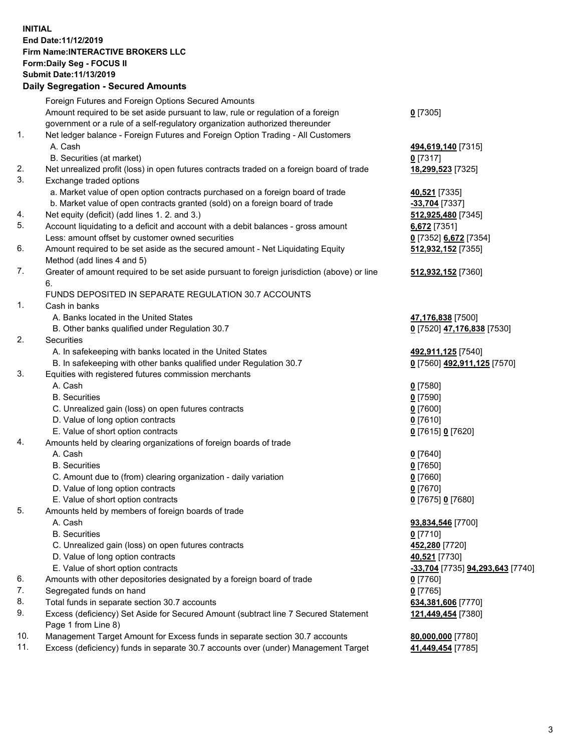## **INITIAL End Date:11/12/2019 Firm Name:INTERACTIVE BROKERS LLC Form:Daily Seg - FOCUS II Submit Date:11/13/2019 Daily Segregation - Secured Amounts**

|                | Daily Segregation - Secured Amounts                                                                |                                  |
|----------------|----------------------------------------------------------------------------------------------------|----------------------------------|
|                | Foreign Futures and Foreign Options Secured Amounts                                                |                                  |
|                | Amount required to be set aside pursuant to law, rule or regulation of a foreign                   | $0$ [7305]                       |
|                | government or a rule of a self-regulatory organization authorized thereunder                       |                                  |
| $\mathbf{1}$ . | Net ledger balance - Foreign Futures and Foreign Option Trading - All Customers                    |                                  |
|                | A. Cash                                                                                            | 494,619,140 [7315]               |
|                | B. Securities (at market)                                                                          | $0$ [7317]                       |
| 2.             | Net unrealized profit (loss) in open futures contracts traded on a foreign board of trade          | 18,299,523 [7325]                |
| 3.             | Exchange traded options                                                                            |                                  |
|                | a. Market value of open option contracts purchased on a foreign board of trade                     | 40,521 [7335]                    |
|                | b. Market value of open contracts granted (sold) on a foreign board of trade                       | -33,704 [7337]                   |
| 4.             | Net equity (deficit) (add lines 1.2. and 3.)                                                       | 512,925,480 [7345]               |
| 5.             | Account liquidating to a deficit and account with a debit balances - gross amount                  | 6,672 [7351]                     |
|                | Less: amount offset by customer owned securities                                                   | 0 [7352] 6,672 [7354]            |
| 6.             | Amount required to be set aside as the secured amount - Net Liquidating Equity                     | 512,932,152 [7355]               |
|                | Method (add lines 4 and 5)                                                                         |                                  |
| 7.             | Greater of amount required to be set aside pursuant to foreign jurisdiction (above) or line        | 512,932,152 [7360]               |
|                | 6.                                                                                                 |                                  |
|                | FUNDS DEPOSITED IN SEPARATE REGULATION 30.7 ACCOUNTS                                               |                                  |
| 1.             | Cash in banks                                                                                      |                                  |
|                | A. Banks located in the United States                                                              | 47,176,838 [7500]                |
|                | B. Other banks qualified under Regulation 30.7                                                     | 0 [7520] 47,176,838 [7530]       |
| 2.             | Securities                                                                                         |                                  |
|                | A. In safekeeping with banks located in the United States                                          | 492,911,125 [7540]               |
|                | B. In safekeeping with other banks qualified under Regulation 30.7                                 | 0 [7560] 492,911,125 [7570]      |
| 3.             | Equities with registered futures commission merchants                                              |                                  |
|                | A. Cash                                                                                            | $0$ [7580]                       |
|                | <b>B.</b> Securities                                                                               | $0$ [7590]                       |
|                | C. Unrealized gain (loss) on open futures contracts                                                | $0$ [7600]                       |
|                | D. Value of long option contracts                                                                  | $0$ [7610]                       |
|                | E. Value of short option contracts                                                                 | 0 [7615] 0 [7620]                |
| 4.             | Amounts held by clearing organizations of foreign boards of trade                                  |                                  |
|                | A. Cash                                                                                            | $0$ [7640]                       |
|                | <b>B.</b> Securities                                                                               | $0$ [7650]                       |
|                | C. Amount due to (from) clearing organization - daily variation                                    | $0$ [7660]                       |
|                | D. Value of long option contracts                                                                  | $0$ [7670]                       |
|                | E. Value of short option contracts                                                                 | 0 [7675] 0 [7680]                |
| 5.             | Amounts held by members of foreign boards of trade                                                 |                                  |
|                | A. Cash                                                                                            | 93,834,546 [7700]                |
|                | <b>B.</b> Securities                                                                               | $0$ [7710]                       |
|                | C. Unrealized gain (loss) on open futures contracts                                                | 452,280 [7720]                   |
|                | D. Value of long option contracts                                                                  | 40,521 [7730]                    |
| 6.             | E. Value of short option contracts                                                                 | -33,704 [7735] 94,293,643 [7740] |
| 7.             | Amounts with other depositories designated by a foreign board of trade<br>Segregated funds on hand | 0 [7760]                         |
| 8.             | Total funds in separate section 30.7 accounts                                                      | $0$ [7765]                       |
| 9.             | Excess (deficiency) Set Aside for Secured Amount (subtract line 7 Secured Statement                | 634,381,606 [7770]               |
|                | Page 1 from Line 8)                                                                                | 121,449,454 [7380]               |
| 10.            | Management Target Amount for Excess funds in separate section 30.7 accounts                        | 80,000,000 [7780]                |
| 11.            | Excess (deficiency) funds in separate 30.7 accounts over (under) Management Target                 | 41,449,454 [7785]                |
|                |                                                                                                    |                                  |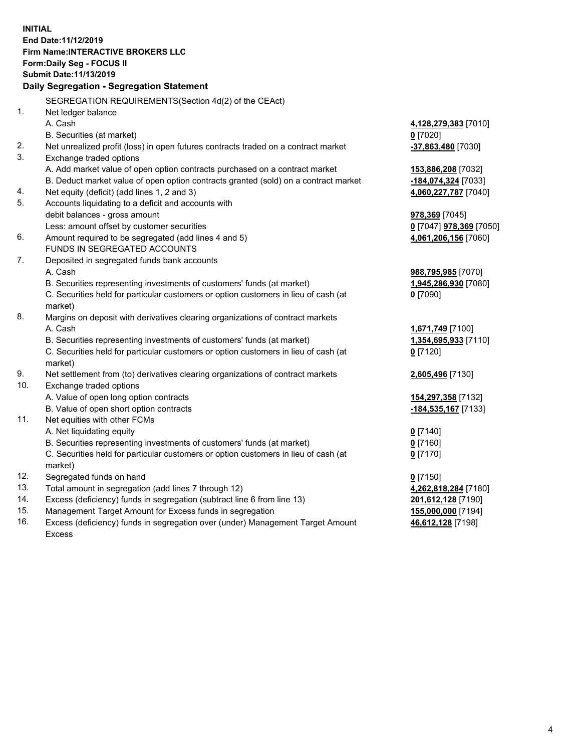**INITIAL End Date:11/12/2019 Firm Name:INTERACTIVE BROKERS LLC Form:Daily Seg - FOCUS II Submit Date:11/13/2019 Daily Segregation - Segregation Statement** SEGREGATION REQUIREMENTS(Section 4d(2) of the CEAct) 1. Net ledger balance A. Cash **4,128,279,383** [7010] B. Securities (at market) **0** [7020] 2. Net unrealized profit (loss) in open futures contracts traded on a contract market **-37,863,480** [7030] 3. Exchange traded options A. Add market value of open option contracts purchased on a contract market **153,886,208** [7032] B. Deduct market value of open option contracts granted (sold) on a contract market **-184,074,324** [7033] 4. Net equity (deficit) (add lines 1, 2 and 3) **4,060,227,787** [7040] 5. Accounts liquidating to a deficit and accounts with debit balances - gross amount **978,369** [7045] Less: amount offset by customer securities **0** [7047] **978,369** [7050] 6. Amount required to be segregated (add lines 4 and 5) **4,061,206,156** [7060] FUNDS IN SEGREGATED ACCOUNTS 7. Deposited in segregated funds bank accounts A. Cash **988,795,985** [7070] B. Securities representing investments of customers' funds (at market) **1,945,286,930** [7080] C. Securities held for particular customers or option customers in lieu of cash (at market) **0** [7090] 8. Margins on deposit with derivatives clearing organizations of contract markets A. Cash **1,671,749** [7100] B. Securities representing investments of customers' funds (at market) **1,354,695,933** [7110] C. Securities held for particular customers or option customers in lieu of cash (at market) **0** [7120] 9. Net settlement from (to) derivatives clearing organizations of contract markets **2,605,496** [7130] 10. Exchange traded options A. Value of open long option contracts **154,297,358** [7132] B. Value of open short option contracts **-184,535,167** [7133] 11. Net equities with other FCMs A. Net liquidating equity **0** [7140] B. Securities representing investments of customers' funds (at market) **0** [7160] C. Securities held for particular customers or option customers in lieu of cash (at market) **0** [7170] 12. Segregated funds on hand **0** [7150] 13. Total amount in segregation (add lines 7 through 12) **4,262,818,284** [7180] 14. Excess (deficiency) funds in segregation (subtract line 6 from line 13) **201,612,128** [7190] 15. Management Target Amount for Excess funds in segregation **155,000,000** [7194]

16. Excess (deficiency) funds in segregation over (under) Management Target Amount Excess

**46,612,128** [7198]